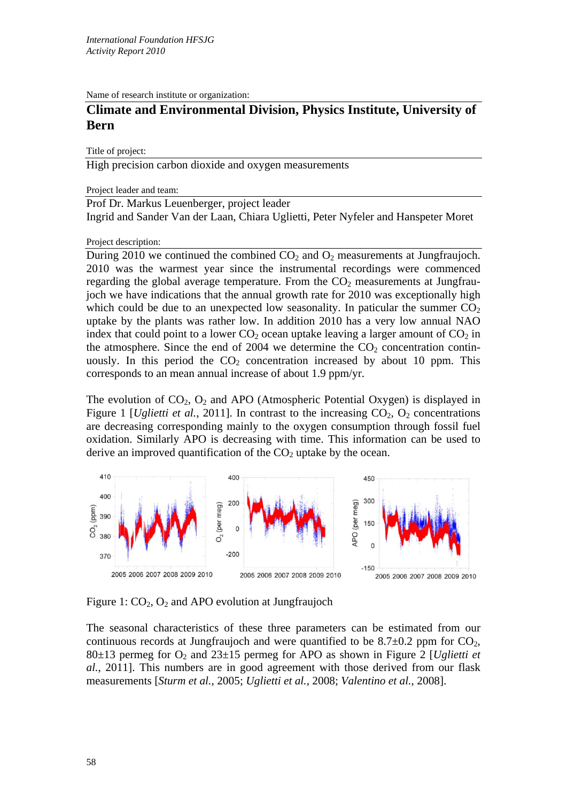Name of research institute or organization:

## **Climate and Environmental Division, Physics Institute, University of Bern**

Title of project:

High precision carbon dioxide and oxygen measurements

Project leader and team:

Prof Dr. Markus Leuenberger, project leader Ingrid and Sander Van der Laan, Chiara Uglietti, Peter Nyfeler and Hanspeter Moret

Project description:

During 2010 we continued the combined  $CO<sub>2</sub>$  and  $O<sub>2</sub>$  measurements at Jungfraujoch. 2010 was the warmest year since the instrumental recordings were commenced regarding the global average temperature. From the  $CO<sub>2</sub>$  measurements at Jungfraujoch we have indications that the annual growth rate for 2010 was exceptionally high which could be due to an unexpected low seasonality. In paticular the summer  $CO<sub>2</sub>$ uptake by the plants was rather low. In addition 2010 has a very low annual NAO index that could point to a lower  $CO<sub>2</sub>$  ocean uptake leaving a larger amount of  $CO<sub>2</sub>$  in the atmosphere. Since the end of 2004 we determine the  $CO<sub>2</sub>$  concentration continuously. In this period the  $CO<sub>2</sub>$  concentration increased by about 10 ppm. This corresponds to an mean annual increase of about 1.9 ppm/yr.

The evolution of  $CO<sub>2</sub>$ ,  $O<sub>2</sub>$  and APO (Atmospheric Potential Oxygen) is displayed in Figure 1 *[Uglietti et al.,* 2011]. In contrast to the increasing  $CO_2$ ,  $O_2$  concentrations are decreasing corresponding mainly to the oxygen consumption through fossil fuel oxidation. Similarly APO is decreasing with time. This information can be used to derive an improved quantification of the  $CO<sub>2</sub>$  uptake by the ocean.



Figure 1:  $CO<sub>2</sub>$ ,  $O<sub>2</sub>$  and APO evolution at Jungfraujoch

The seasonal characteristics of these three parameters can be estimated from our continuous records at Jungfraujoch and were quantified to be  $8.7\pm0.2$  ppm for CO<sub>2</sub>, 80 $\pm$ 13 permeg for O<sub>2</sub> and 23 $\pm$ 15 permeg for APO as shown in Figure 2 [*Uglietti et al.*, 2011]. This numbers are in good agreement with those derived from our flask measurements [*Sturm et al.*, 2005; *Uglietti et al.*, 2008; *Valentino et al.*, 2008].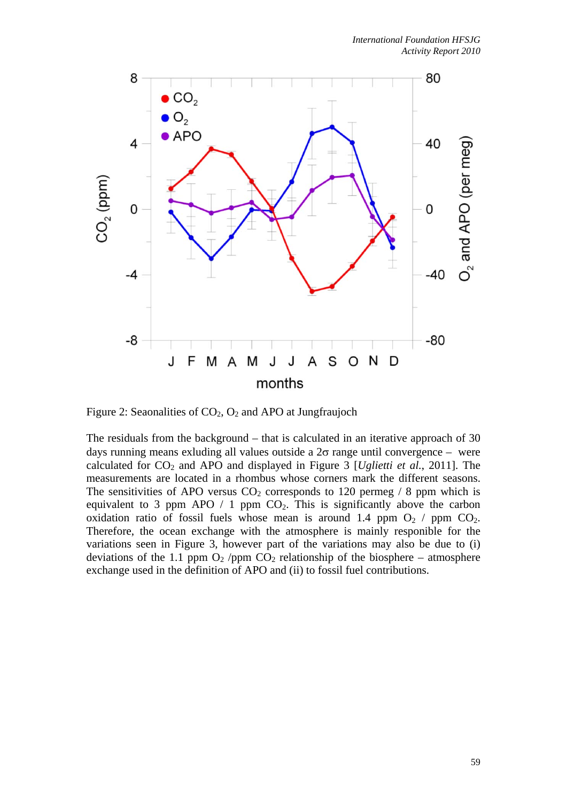

Figure 2: Seaonalities of  $CO<sub>2</sub>$ ,  $O<sub>2</sub>$  and APO at Jungfraujoch

The residuals from the background – that is calculated in an iterative approach of 30 days running means exluding all values outside a  $2\sigma$  range until convergence – were calculated for  $CO_2$  and APO and displayed in Figure 3 [*Uglietti et al.*, 2011]. The measurements are located in a rhombus whose corners mark the different seasons. The sensitivities of APO versus  $CO<sub>2</sub>$  corresponds to 120 permeg / 8 ppm which is equivalent to 3 ppm APO / 1 ppm  $CO<sub>2</sub>$ . This is significantly above the carbon oxidation ratio of fossil fuels whose mean is around 1.4 ppm  $O_2$  / ppm  $CO_2$ . Therefore, the ocean exchange with the atmosphere is mainly responible for the variations seen in Figure 3, however part of the variations may also be due to (i) deviations of the 1.1 ppm  $O_2$  /ppm  $CO_2$  relationship of the biosphere – atmosphere exchange used in the definition of APO and (ii) to fossil fuel contributions.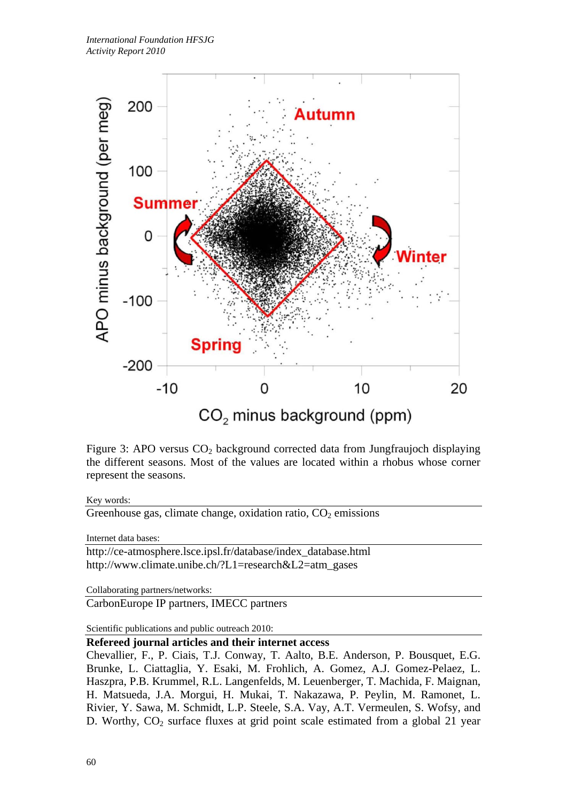

Figure 3: APO versus  $CO<sub>2</sub>$  background corrected data from Jungfraujoch displaying the different seasons. Most of the values are located within a rhobus whose corner represent the seasons.

## Key words:

Greenhouse gas, climate change, oxidation ratio,  $CO<sub>2</sub>$  emissions

Internet data bases:

http://ce-atmosphere.lsce.ipsl.fr/database/index\_database.html http://www.climate.unibe.ch/?L1=research&L2=atm\_gases

Collaborating partners/networks:

CarbonEurope IP partners, IMECC partners

Scientific publications and public outreach 2010:

## **Refereed journal articles and their internet access**

Chevallier, F., P. Ciais, T.J. Conway, T. Aalto, B.E. Anderson, P. Bousquet, E.G. Brunke, L. Ciattaglia, Y. Esaki, M. Frohlich, A. Gomez, A.J. Gomez-Pelaez, L. Haszpra, P.B. Krummel, R.L. Langenfelds, M. Leuenberger, T. Machida, F. Maignan, H. Matsueda, J.A. Morgui, H. Mukai, T. Nakazawa, P. Peylin, M. Ramonet, L. Rivier, Y. Sawa, M. Schmidt, L.P. Steele, S.A. Vay, A.T. Vermeulen, S. Wofsy, and D. Worthy, CO<sub>2</sub> surface fluxes at grid point scale estimated from a global 21 year